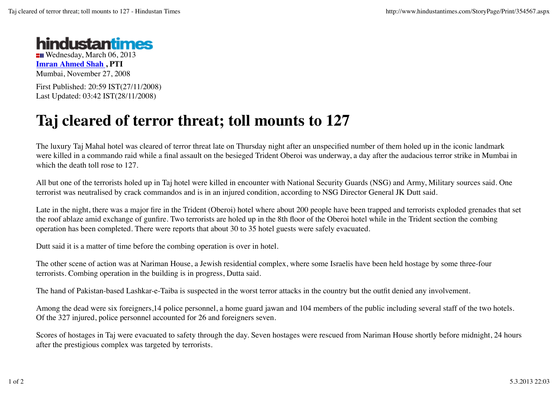

**EII** Wednesday, March 06, 2013 **Imran Ahmed Shah , PTI** Mumbai, November 27, 2008

First Published: 20:59 IST(27/11/2008) Last Updated: 03:42 IST(28/11/2008)

## **Taj cleared of terror threat; toll mounts to 127**

The luxury Taj Mahal hotel was cleared of terror threat late on Thursday night after an unspecified number of them holed up in the iconic landmark were killed in a commando raid while a final assault on the besieged Trident Oberoi was underway, a day after the audacious terror strike in Mumbai in which the death toll rose to 127.

All but one of the terrorists holed up in Taj hotel were killed in encounter with National Security Guards (NSG) and Army, Military sources said. One terrorist was neutralised by crack commandos and is in an injured condition, according to NSG Director General JK Dutt said.

Late in the night, there was a major fire in the Trident (Oberoi) hotel where about 200 people have been trapped and terrorists exploded grenades that set the roof ablaze amid exchange of gunfire. Two terrorists are holed up in the 8th floor of the Oberoi hotel while in the Trident section the combing operation has been completed. There were reports that about 30 to 35 hotel guests were safely evacuated.

Dutt said it is a matter of time before the combing operation is over in hotel.

The other scene of action was at Nariman House, a Jewish residential complex, where some Israelis have been held hostage by some three-four terrorists. Combing operation in the building is in progress, Dutta said.

The hand of Pakistan-based Lashkar-e-Taiba is suspected in the worst terror attacks in the country but the outfit denied any involvement.

Among the dead were six foreigners,14 police personnel, a home guard jawan and 104 members of the public including several staff of the two hotels. Of the 327 injured, police personnel accounted for 26 and foreigners seven.

Scores of hostages in Taj were evacuated to safety through the day. Seven hostages were rescued from Nariman House shortly before midnight, 24 hours after the prestigious complex was targeted by terrorists.